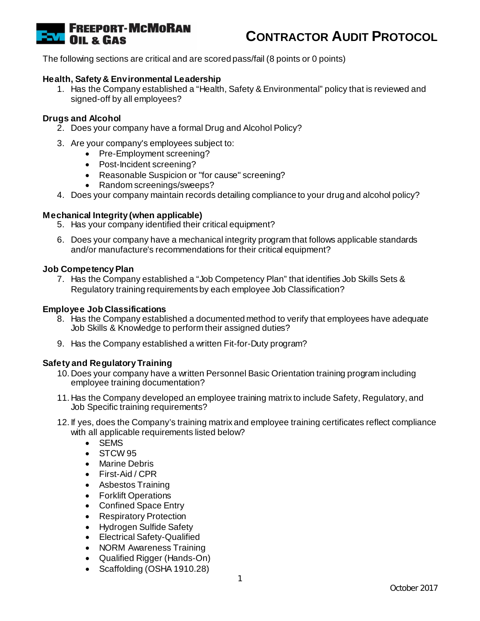

The following sections are critical and are scored pass/fail (8 points or 0 points)

#### **Health, Safety & Environmental Leadership**

1. Has the Company established a "Health, Safety & Environmental" policy that is reviewed and signed-off by all employees?

#### **Drugs and Alcohol**

- 2. Does your company have a formal Drug and Alcohol Policy?
- 3. Are your company's employees subject to:
	- Pre-Employment screening?
	- Post-Incident screening?
	- Reasonable Suspicion or "for cause" screening?
	- Random screenings/sweeps?
- 4. Does your company maintain records detailing compliance to your drug and alcohol policy?

#### **Mechanical Integrity (when applicable)**

- 5. Has your company identified their critical equipment?
- 6. Does your company have a mechanical integrity program that follows applicable standards and/or manufacture's recommendations for their critical equipment?

#### **Job Competency Plan**

7. Has the Company established a "Job Competency Plan" that identifies Job Skills Sets & Regulatory training requirements by each employee Job Classification?

#### **Employee Job Classifications**

- 8. Has the Company established a documented method to verify that employees have adequate Job Skills & Knowledge to perform their assigned duties?
- 9. Has the Company established a written Fit-for-Duty program?

#### **Safety and Regulatory Training**

- 10. Does your company have a written Personnel Basic Orientation training program including employee training documentation?
- 11. Has the Company developed an employee training matrix to include Safety, Regulatory, and Job Specific training requirements?
- 12. If yes, does the Company's training matrix and employee training certificates reflect compliance with all applicable requirements listed below?
	- SEMS
	- STCW 95
	- Marine Debris
	- First-Aid / CPR
	- Asbestos Training
	- Forklift Operations
	- Confined Space Entry
	- Respiratory Protection
	- Hydrogen Sulfide Safety
	- Electrical Safety-Qualified
	- NORM Awareness Training
	- Qualified Rigger (Hands-On)
	- Scaffolding (OSHA 1910.28)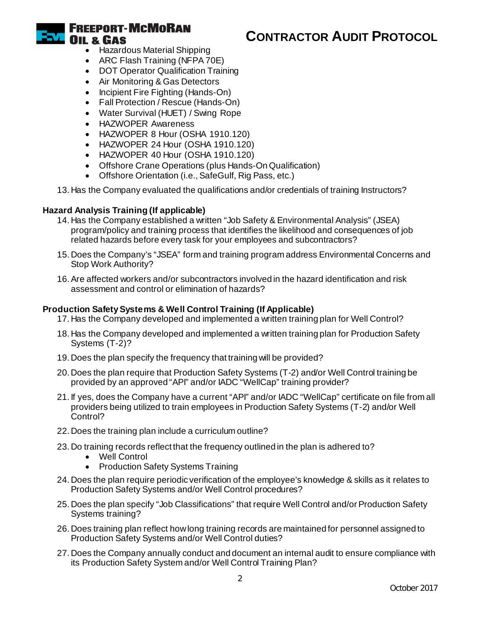

# **CONTRACTOR AUDIT PROTOCOL**

- Hazardous Material Shipping
- ARC Flash Training (NFPA 70E)
- DOT Operator Qualification Training
- Air Monitoring & Gas Detectors
- Incipient Fire Fighting (Hands-On)
- Fall Protection / Rescue (Hands-On)
- Water Survival (HUET) / Swing Rope
- HAZWOPER Awareness
- HAZWOPER 8 Hour (OSHA 1910.120)
- HAZWOPER 24 Hour (OSHA 1910.120)
- HAZWOPER 40 Hour (OSHA 1910.120)
- Offshore Crane Operations (plus Hands-On Qualification)
- Offshore Orientation (i.e., SafeGulf, Rig Pass, etc.)
- 13. Has the Company evaluated the qualifications and/or credentials of training Instructors?

## **Hazard Analysis Training (If applicable)**

- 14. Has the Company established a written "Job Safety & Environmental Analysis" (JSEA) program/policy and training process that identifies the likelihood and consequences of job related hazards before every task for your employees and subcontractors?
- 15. Does the Company's "JSEA" form and training program address Environmental Concerns and Stop Work Authority?
- 16.Are affected workers and/or subcontractors involved in the hazard identification and risk assessment and control or elimination of hazards?

## **Production Safety Systems & Well Control Training (If Applicable)**

- 17. Has the Company developed and implemented a written training plan for Well Control?
- 18. Has the Company developed and implemented a written training plan for Production Safety Systems (T-2)?
- 19. Does the plan specify the frequency that training will be provided?
- 20. Does the plan require that Production Safety Systems (T-2) and/or Well Control training be provided by an approved "API" and/or IADC "WellCap" training provider?
- 21. If yes, does the Company have a current "API" and/or IADC "WellCap" certificate on file from all providers being utilized to train employees in Production Safety Systems (T-2) and/or Well Control?
- 22. Does the training plan include a curriculum outline?
- 23. Do training records reflect that the frequency outlined in the plan is adhered to?
	- Well Control
	- Production Safety Systems Training
- 24. Does the plan require periodic verification of the employee's knowledge & skills as it relates to Production Safety Systems and/or Well Control procedures?
- 25. Does the plan specify "Job Classifications" that require Well Control and/or Production Safety Systems training?
- 26. Does training plan reflect how long training records are maintained for personnel assigned to Production Safety Systems and/or Well Control duties?
- 27. Does the Company annually conduct and document an internal audit to ensure compliance with its Production Safety System and/or Well Control Training Plan?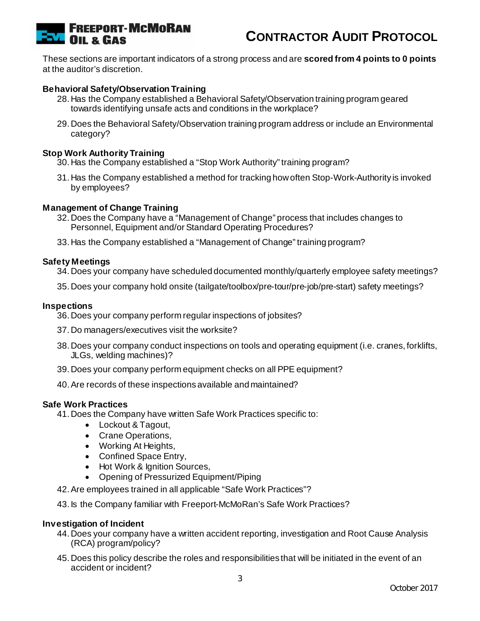

These sections are important indicators of a strong process and are **scored from 4 points to 0 points**  at the auditor's discretion.

## **Behavioral Safety/Observation Training**

- 28. Has the Company established a Behavioral Safety/Observation training program geared towards identifying unsafe acts and conditions in the workplace?
- 29. Does the Behavioral Safety/Observation training program address or include an Environmental category?

#### **Stop Work Authority Training**

- 30. Has the Company established a "Stop Work Authority" training program?
- 31. Has the Company established a method for tracking how often Stop-Work-Authority is invoked by employees?

#### **Management of Change Training**

- 32. Does the Company have a "Management of Change" process that includes changes to Personnel, Equipment and/or Standard Operating Procedures?
- 33. Has the Company established a "Management of Change" training program?

#### **Safety Meetings**

- 34. Does your company have scheduled documented monthly/quarterly employee safety meetings?
- 35. Does your company hold onsite (tailgate/toolbox/pre-tour/pre-job/pre-start) safety meetings?

#### **Inspections**

- 36. Does your company perform regular inspections of jobsites?
- 37. Do managers/executives visit the worksite?
- 38. Does your company conduct inspections on tools and operating equipment (i.e. cranes, forklifts, JLGs, welding machines)?
- 39. Does your company perform equipment checks on all PPE equipment?
- 40.Are records of these inspections available and maintained?

#### **Safe Work Practices**

- 41. Does the Company have written Safe Work Practices specific to:
	- Lockout & Tagout,
	- Crane Operations,
	- Working At Heights,
	- Confined Space Entry,
	- Hot Work & Ignition Sources,
	- Opening of Pressurized Equipment/Piping
- 42.Are employees trained in all applicable "Safe Work Practices"?
- 43. Is the Company familiar with Freeport-McMoRan's Safe Work Practices?

#### **Investigation of Incident**

- 44. Does your company have a written accident reporting, investigation and Root Cause Analysis (RCA) program/policy?
- 45. Does this policy describe the roles and responsibilities that will be initiated in the event of an accident or incident?